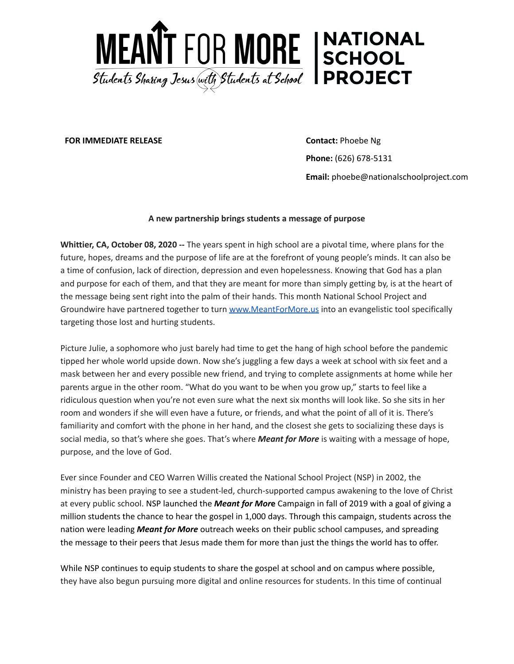

**FOR IMMEDIATE RELEASE Contact:** Phoebe Ng

**Phone:** (626) 678-5131 **Email:** phoebe@nationalschoolproject.com

## **A new partnership brings students a message of purpose**

**Whittier, CA, October 08, 2020 --** The years spent in high school are a pivotal time, where plans for the future, hopes, dreams and the purpose of life are at the forefront of young people's minds. It can also be a time of confusion, lack of direction, depression and even hopelessness. Knowing that God has a plan and purpose for each of them, and that they are meant for more than simply getting by, is at the heart of the message being sent right into the palm of their hands. This month National School Project and Groundwire have partnered together to turn [www.MeantForMore.us](http://www.meantformore.us/) into an evangelistic tool specifically targeting those lost and hurting students.

Picture Julie, a sophomore who just barely had time to get the hang of high school before the pandemic tipped her whole world upside down. Now she's juggling a few days a week at school with six feet and a mask between her and every possible new friend, and trying to complete assignments at home while her parents argue in the other room. "What do you want to be when you grow up," starts to feel like a ridiculous question when you're not even sure what the next six months will look like. So she sits in her room and wonders if she will even have a future, or friends, and what the point of all of it is. There's familiarity and comfort with the phone in her hand, and the closest she gets to socializing these days is social media, so that's where she goes. That's where *Meant for More* is waiting with a message of hope, purpose, and the love of God.

Ever since Founder and CEO Warren Willis created the National School Project (NSP) in 2002, the ministry has been praying to see a student-led, church-supported campus awakening to the love of Christ at every public school. NSP launched the *Meant for Mor***e** Campaign in fall of 2019 with a goal of giving a million students the chance to hear the gospel in 1,000 days. Through this campaign, students across the nation were leading *Meant for More* outreach weeks on their public school campuses, and spreading the message to their peers that Jesus made them for more than just the things the world has to offer.

While NSP continues to equip students to share the gospel at school and on campus where possible, they have also begun pursuing more digital and online resources for students. In this time of continual